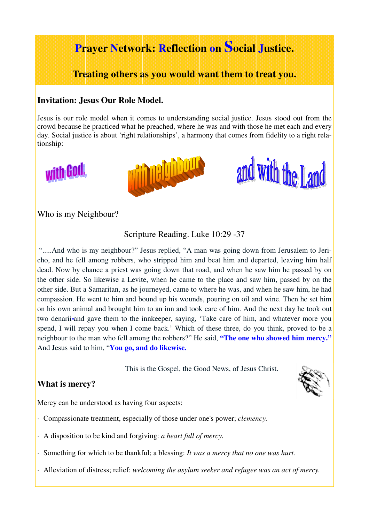# **Prayer Network: Reflection on Social Justice.**

**Treating others as you would want them to treat you.** 

#### **Invitation: Jesus Our Role Model.**

Jesus is our role model when it comes to understanding social justice. Jesus stood out from the crowd because he practiced what he preached, where he was and with those he met each and every day. Social justice is about 'right relationships', a harmony that comes from fidelity to a right relationship:







Who is my Neighbour?

Scripture Reading. Luke 10:29 -37

".....And who is my neighbour?" Jesus replied, "A man was going down from Jerusalem to Jericho, and he fell among robbers, who stripped him and beat him and departed, leaving him half dead. Now by chance a priest was going down that road, and when he saw him he passed by on the other side. So likewise a Levite, when he came to the place and saw him, passed by on the other side. But a Samaritan, as he journeyed, came to where he was, and when he saw him, he had compassion. He went to him and bound up his wounds, pouring on oil and wine. Then he set him on his own animal and brought him to an inn and took care of him. And the next day he took out two denarii-and gave them to the innkeeper, saying, 'Take care of him, and whatever more you spend, I will repay you when I come back.' Which of these three, do you think, proved to be a neighbour to the man who fell among the robbers?" He said, **"The one who showed him mercy."**  And Jesus said to him, "**You go, and do likewise.**

This is the Gospel, the Good News, of Jesus Christ.

### **What is mercy?**

Mercy can be understood as having four aspects:

- · Compassionate treatment, especially of those under one's power; *clemency.*
- · A disposition to be kind and forgiving: *a heart full of mercy.*
- · Something for which to be thankful; a blessing: *It was a mercy that no one was hurt.*
- · Alleviation of distress; relief: *welcoming the asylum seeker and refugee was an act of mercy.*